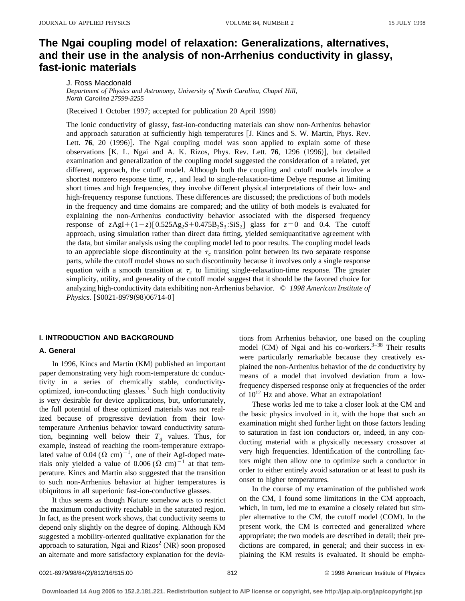# **The Ngai coupling model of relaxation: Generalizations, alternatives, and their use in the analysis of non-Arrhenius conductivity in glassy, fast-ionic materials**

#### J. Ross Macdonald

*Department of Physics and Astronomy, University of North Carolina, Chapel Hill, North Carolina 27599-3255*

(Received 1 October 1997; accepted for publication 20 April 1998)

The ionic conductivity of glassy, fast-ion-conducting materials can show non-Arrhenius behavior and approach saturation at sufficiently high temperatures [J. Kincs and S. W. Martin, Phys. Rev. Lett. **76**, 20 (1996). The Ngai coupling model was soon applied to explain some of these observations [K. L. Ngai and A. K. Rizos, Phys. Rev. Lett. **76**, 1296 (1996)], but detailed examination and generalization of the coupling model suggested the consideration of a related, yet different, approach, the cutoff model. Although both the coupling and cutoff models involve a shortest nonzero response time,  $\tau_c$ , and lead to single-relaxation-time Debye response at limiting short times and high frequencies, they involve different physical interpretations of their low- and high-frequency response functions. These differences are discussed; the predictions of both models in the frequency and time domains are compared; and the utility of both models is evaluated for explaining the non-Arrhenius conductivity behavior associated with the dispersed frequency response of  $z\text{AgI}+(1-z)[0.525\text{Ag}_2S+0.475\text{B}_2S_3:SiS_2]$  glass for  $z=0$  and 0.4. The cutoff approach, using simulation rather than direct data fitting, yielded semiquantitative agreement with the data, but similar analysis using the coupling model led to poor results. The coupling model leads to an appreciable slope discontinuity at the  $\tau_c$  transition point between its two separate response parts, while the cutoff model shows no such discontinuity because it involves only a single response equation with a smooth transition at  $\tau_c$  to limiting single-relaxation-time response. The greater simplicity, utility, and generality of the cutoff model suggest that it should be the favored choice for analyzing high-conductivity data exhibiting non-Arrhenius behavior. © *1998 American Institute of Physics.* [S0021-8979(98)06714-0]

# **I. INTRODUCTION AND BACKGROUND**

### **A. General**

In 1996, Kincs and Martin  $(KM)$  published an important paper demonstrating very high room-temperature dc conductivity in a series of chemically stable, conductivityoptimized, ion-conducting glasses.<sup>1</sup> Such high conductivity is very desirable for device applications, but, unfortunately, the full potential of these optimized materials was not realized because of progressive deviation from their lowtemperature Arrhenius behavior toward conductivity saturation, beginning well below their  $T_g$  values. Thus, for example, instead of reaching the room-temperature extrapolated value of 0.04 ( $\Omega$  cm)<sup>-1</sup>, one of their AgI-doped materials only yielded a value of 0.006 ( $\Omega$  cm)<sup>-1</sup> at that temperature. Kincs and Martin also suggested that the transition to such non-Arrhenius behavior at higher temperatures is ubiquitous in all superionic fast-ion-conductive glasses.

It thus seems as though Nature somehow acts to restrict the maximum conductivity reachable in the saturated region. In fact, as the present work shows, that conductivity seems to depend only slightly on the degree of doping. Although KM suggested a mobility-oriented qualitative explanation for the approach to saturation, Ngai and  $Rizos<sup>2</sup>$  (NR) soon proposed an alternate and more satisfactory explanation for the deviations from Arrhenius behavior, one based on the coupling model  $(CM)$  of Ngai and his co-workers.<sup>3–38</sup> Their results were particularly remarkable because they creatively explained the non-Arrhenius behavior of the dc conductivity by means of a model that involved deviation from a lowfrequency dispersed response only at frequencies of the order of  $10^{12}$  Hz and above. What an extrapolation!

These works led me to take a closer look at the CM and the basic physics involved in it, with the hope that such an examination might shed further light on those factors leading to saturation in fast ion conductors or, indeed, in any conducting material with a physically necessary crossover at very high frequencies. Identification of the controlling factors might then allow one to optimize such a conductor in order to either entirely avoid saturation or at least to push its onset to higher temperatures.

In the course of my examination of the published work on the CM, I found some limitations in the CM approach, which, in turn, led me to examine a closely related but simpler alternative to the CM, the cutoff model (COM). In the present work, the CM is corrected and generalized where appropriate; the two models are described in detail; their predictions are compared, in general; and their success in explaining the KM results is evaluated. It should be empha-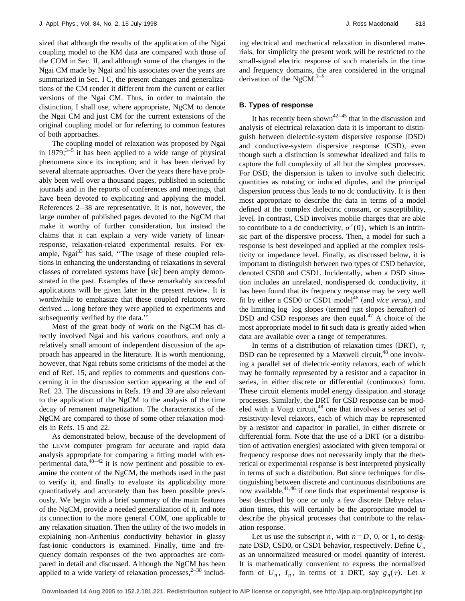sized that although the results of the application of the Ngai coupling model to the KM data are compared with those of the COM in Sec. II, and although some of the changes in the Ngai CM made by Ngai and his associates over the years are summarized in Sec. I C, the present changes and generalizations of the CM render it different from the current or earlier versions of the Ngai CM. Thus, in order to maintain the distinction, I shall use, where appropriate, NgCM to denote the Ngai CM and just CM for the current extensions of the original coupling model or for referring to common features of both approaches.

The coupling model of relaxation was proposed by Ngai in 1979; $3-5$  it has been applied to a wide range of physical phenomena since its inception; and it has been derived by several alternate approaches. Over the years there have probably been well over a thousand pages, published in scientific journals and in the reports of conferences and meetings, that have been devoted to explicating and applying the model. References 2–38 are representative. It is not, however, the large number of published pages devoted to the NgCM that make it worthy of further consideration, but instead the claims that it can explain a very wide variety of linearresponse, relaxation-related experimental results. For example, Ngai $33$  has said, "The usage of these coupled relations in enhancing the understanding of relaxations in several classes of correlated systems have [sic] been amply demonstrated in the past. Examples of these remarkably successful applications will be given later in the present review. It is worthwhile to emphasize that these coupled relations were derived ... long before they were applied to experiments and subsequently verified by the data.''

Most of the great body of work on the NgCM has directly involved Ngai and his various coauthors, and only a relatively small amount of independent discussion of the approach has appeared in the literature. It is worth mentioning, however, that Ngai rebuts some criticisms of the model at the end of Ref. 15, and replies to comments and questions concerning it in the discussion section appearing at the end of Ref. 23. The discussions in Refs. 19 and 39 are also relevant to the application of the NgCM to the analysis of the time decay of remanent magnetization. The characteristics of the NgCM are compared to those of some other relaxation models in Refs. 15 and 22.

As demonstrated below, because of the development of the LEVM computer program for accurate and rapid data analysis appropriate for comparing a fitting model with experimental data,  $40-42$  it is now pertinent and possible to examine the content of the NgCM, the methods used in the past to verify it, and finally to evaluate its applicability more quantitatively and accurately than has been possible previously. We begin with a brief summary of the main features of the NgCM, provide a needed generalization of it, and note its connection to the more general COM, one applicable to any relaxation situation. Then the utility of the two models in explaining non-Arrhenius conductivity behavior in glassy fast-ionic conductors is examined. Finally, time and frequency domain responses of the two approaches are compared in detail and discussed. Although the NgCM has been applied to a wide variety of relaxation processes,  $2^{-38}$  including electrical and mechanical relaxation in disordered materials, for simplicity the present work will be restricted to the small-signal electric response of such materials in the time and frequency domains, the area considered in the original derivation of the NgCM. $3-5$ 

### **B. Types of response**

It has recently been shown<sup>42–45</sup> that in the discussion and analysis of electrical relaxation data it is important to distinguish between dielectric-system dispersive response (DSD) and conductive-system dispersive response (CSD), even though such a distinction is somewhat idealized and fails to capture the full complexity of all but the simplest processes. For DSD, the dispersion is taken to involve such dielectric quantities as rotating or induced dipoles, and the principal dispersion process thus leads to no dc conductivity. It is then most appropriate to describe the data in terms of a model defined at the complex dielectric constant, or susceptibility, level. In contrast, CSD involves mobile charges that are able to contribute to a dc conductivity,  $\sigma'(0)$ , which is an intrinsic part of the dispersive process. Then, a model for such a response is best developed and applied at the complex resistivity or impedance level. Finally, as discussed below, it is important to distinguish between two types of CSD behavior, denoted CSD0 and CSD1. Incidentally, when a DSD situation includes an unrelated, nondispersed dc conductivity, it has been found that its frequency response may be very well fit by either a CSD0 or CSD1 model<sup>46</sup> (and *vice versa*), and the limiting log-log slopes (termed just slopes hereafter) of DSD and CSD responses are then equal.<sup>47</sup> A choice of the most appropriate model to fit such data is greatly aided when data are available over a range of temperatures.

In terms of a distribution of relaxation times (DRT),  $\tau$ , DSD can be represented by a Maxwell circuit, $48$  one involving a parallel set of dielectric-entity relaxors, each of which may be formally represented by a resistor and a capacitor in series, in either discrete or differential (continuous) form. These circuit elements model energy dissipation and storage processes. Similarly, the DRT for CSD response can be modeled with a Voigt circuit,<sup>48</sup> one that involves a series set of resistivity-level relaxors, each of which may be represented by a resistor and capacitor in parallel, in either discrete or differential form. Note that the use of a DRT (or a distribution of activation energies) associated with given temporal or frequency response does not necessarily imply that the theoretical or experimental response is best interpreted physically in terms of such a distribution. But since techniques for distinguishing between discrete and continuous distributions are now available,  $4^{1,46}$  if one finds that experimental response is best described by one or only a few discrete Debye relaxation times, this will certainly be the appropriate model to describe the physical processes that contribute to the relaxation response.

Let us use the subscript *n*, with  $n=D$ , 0, or 1, to designate DSD, CSD0, or CSD1 behavior, respectively. Define *Un* as an unnormalized measured or model quantity of interest. It is mathematically convenient to express the normalized form of  $U_n$ ,  $I_n$ , in terms of a DRT, say  $g_n(\tau)$ . Let x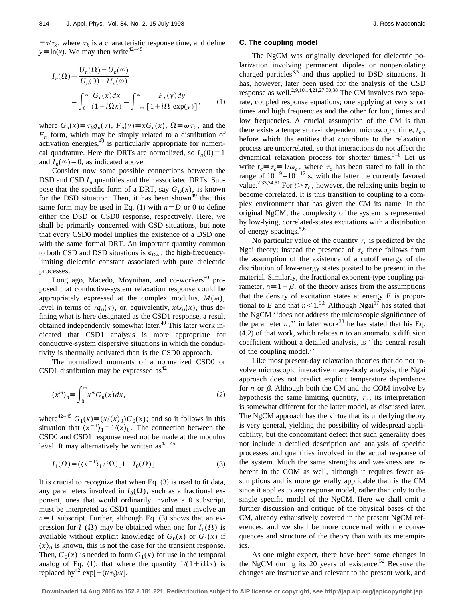$\equiv \tau/\tau_k$ , where  $\tau_k$  is a characteristic response time, and define  $y \equiv ln(x)$ . We may then write<sup>42–45</sup>

$$
I_n(\Omega) = \frac{U_n(\Omega) - U_n(\infty)}{U_n(0) - U_n(\infty)}
$$
  
= 
$$
\int_0^\infty \frac{G_n(x)dx}{(1 + i\Omega x)} = \int_{-\infty}^\infty \frac{F_n(y)dy}{[1 + i\Omega \exp(y)]},
$$
 (1)

where  $G_n(x) \equiv \tau_k g_n(\tau)$ ,  $F_n(y) \equiv x G_n(x)$ ,  $\Omega \equiv \omega \tau_k$ , and the  $F_n$  form, which may be simply related to a distribution of activation energies, $4^5$  is particularly appropriate for numerical quadrature. Here the DRTs are normalized, so  $I_n(0) = 1$ and  $I_n(\infty)=0$ , as indicated above.

Consider now some possible connections between the DSD and CSD  $I_n$  quantities and their associated DRTs. Suppose that the specific form of a DRT, say  $G_D(x)$ , is known for the DSD situation. Then, it has been shown<sup>49</sup> that this same form may be used in Eq. (1) with  $n=D$  or 0 to define either the DSD or CSD0 response, respectively. Here, we shall be primarily concerned with CSD situations, but note that every CSD0 model implies the existence of a DSD one with the same formal DRT. An important quantity common to both CSD and DSD situations is  $\epsilon_{D^\infty}$ , the high-frequencylimiting dielectric constant associated with pure dielectric processes.

Long ago, Macedo, Moynihan, and co-workers<sup>50</sup> proposed that conductive-system relaxation response could be appropriately expressed at the complex modulus,  $M(\omega)$ , level in terms of  $\tau g_0(\tau)$ , or, equivalently,  $xG_0(x)$ , thus defining what is here designated as the CSD1 response, a result obtained independently somewhat later.<sup>49</sup> This later work indicated that CSD1 analysis is more appropriate for conductive-system dispersive situations in which the conductivity is thermally activated than is the CSD0 approach.

The normalized moments of a normalized CSD0 or CSD1 distribution may be expressed as<sup>42</sup>

$$
\langle x^m \rangle_n \equiv \int_0^\infty x^m G_n(x) dx,\tag{2}
$$

where<sup>42–45</sup>  $G_1(x) \equiv (x/\langle x \rangle_0) G_0(x)$ ; and so it follows in this situation that  $\langle x^{-1} \rangle_1 = 1/\langle x \rangle_0$ . The connection between the CSD0 and CSD1 response need not be made at the modulus level. It may alternatively be written  $as^{42-45}$ 

$$
I_1(\Omega) = (\langle x^{-1} \rangle_1 / i\Omega)[1 - I_0(\Omega)]. \tag{3}
$$

It is crucial to recognize that when Eq.  $(3)$  is used to fit data, any parameters involved in  $I_0(\Omega)$ , such as a fractional exponent, ones that would ordinarily involve a 0 subscript, must be interpreted as CSD1 quantities and must involve an  $n=1$  subscript. Further, although Eq. (3) shows that an expression for  $I_1(\Omega)$  may be obtained when one for  $I_0(\Omega)$  is available without explicit knowledge of  $G_0(x)$  or  $G_1(x)$  if  $\langle x \rangle$ <sup>0</sup> is known, this is not the case for the transient response. Then,  $G_0(x)$  is needed to form  $G_1(x)$  for use in the temporal analog of Eq. (1), that where the quantity  $1/(1+i\Omega x)$  is replaced by<sup>42</sup> exp[ $-(t/\tau_k)/x$ ].

### **C. The coupling model**

The NgCM was originally developed for dielectric polarization involving permanent dipoles or nonpercolating charged particles<sup>3,5</sup> and thus applied to DSD situations. It has, however, later been used for the analysis of the CSD response as well.<sup>2,9,10,14,21,27,30,38</sup> The CM involves two separate, coupled response equations; one applying at very short times and high frequencies and the other for long times and low frequencies. A crucial assumption of the CM is that there exists a temperature-independent microscopic time,  $t_c$ , before which the entities that contribute to the relaxation process are uncorrelated, so that interactions do not affect the dynamical relaxation process for shorter times. $3-6$  Let us write  $t_c \equiv \tau_c \equiv 1/\omega_c$ , where  $\tau_c$  has been stated to fall in the range of  $10^{-9} - 10^{-12}$  s, with the latter the currently favored value.<sup>2,33,34,51</sup> For  $t > \tau_c$ , however, the relaxing units begin to become correlated. It is this transition to coupling to a complex environment that has given the CM its name. In the original NgCM, the complexity of the system is represented by low-lying, correlated-states excitations with a distribution of energy spacings. $5,6$ 

No particular value of the quantity  $\tau_c$  is predicted by the Ngai theory; instead the presence of  $\tau_c$  there follows from the assumption of the existence of a cutoff energy of the distribution of low-energy states posited to be present in the material. Similarly, the fractional exponent-type coupling parameter,  $n=1-\beta$ , of the theory arises from the assumptions that the density of excitation states at energy *E* is proportional to *E* and that  $n < 1.5,6$  Although Ngai<sup>17</sup> has stated that the NgCM ''does not address the microscopic significance of the parameter  $n$ ," in later work<sup>33</sup> he has stated that his Eq.  $(4.2)$  of that work, which relates *n* to an anomalous diffusion coefficient without a detailed analysis, is ''the central result of the coupling model.''

Like most present-day relaxation theories that do not involve microscopic interactive many-body analysis, the Ngai approach does not predict explicit temperature dependence for  $n$  or  $\beta$ . Although both the CM and the COM involve by hypothesis the same limiting quantity,  $\tau_c$ , its interpretation is somewhat different for the latter model, as discussed later. The NgCM approach has the virtue that its underlying theory is very general, yielding the possibility of widespread applicability, but the concomitant defect that such generality does not include a detailed description and analysis of specific processes and quantities involved in the actual response of the system. Much the same strengths and weakness are inherent in the COM as well, although it requires fewer assumptions and is more generally applicable than is the CM since it applies to any response model, rather than only to the single specific model of the NgCM. Here we shall omit a further discussion and critique of the physical bases of the CM, already exhaustively covered in the present NgCM references, and we shall be more concerned with the consequences and structure of the theory than with its metempirics.

As one might expect, there have been some changes in the NgCM during its 20 years of existence.<sup>52</sup> Because the changes are instructive and relevant to the present work, and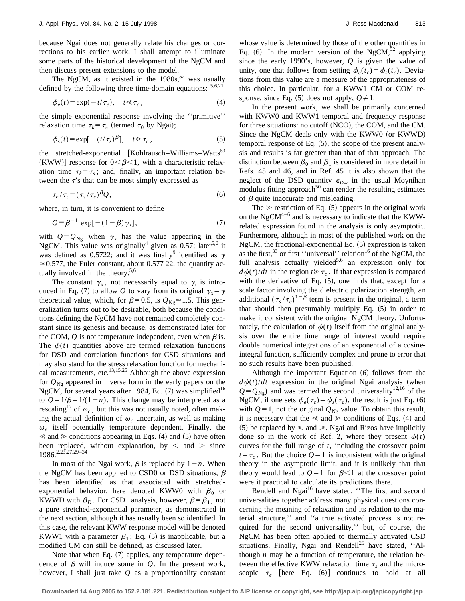because Ngai does not generally relate his changes or corrections to his earlier work, I shall attempt to illuminate some parts of the historical development of the NgCM and then discuss present extensions to the model.

The NgCM, as it existed in the  $1980s^{52}$  was usually defined by the following three time-domain equations:  $5,6,21$ 

$$
\phi_e(t) = \exp(-t/\tau_e), \quad t \ll \tau_c, \tag{4}
$$

the simple exponential response involving the ''primitive'' relaxation time  $\tau_k = \tau_e$  (termed  $\tau_0$  by Ngai);

$$
\phi_s(t) = \exp[-(t/\tau_s)^{\beta}], \quad t \ge \tau_c, \tag{5}
$$

the stretched-exponential  $[Kohlrausch-Williams-Watts<sup>53</sup>$ (KWW)] response for  $0 < \beta < 1$ , with a characteristic relaxation time  $\tau_k = \tau_s$ ; and, finally, an important relation between the  $\tau$ 's that can be most simply expressed as

$$
\tau_e/\tau_c = (\tau_s/\tau_c)^{\beta} Q,\tag{6}
$$

where, in turn, it is convenient to define

$$
Q = \beta^{-1} \exp[-(1-\beta)\gamma_x], \tag{7}
$$

with  $Q = Q_{Ng}$  when  $\gamma_x$  has the value appearing in the NgCM. This value was originally<sup>4</sup> given as 0.57; later<sup>5,6</sup> it was defined as 0.5722; and it was finally<sup>9</sup> identified as  $\gamma$  $\approx$  0.577, the Euler constant, about 0.577 22, the quantity actually involved in the theory.<sup>5,6</sup>

The constant  $\gamma_x$ , not necessarily equal to  $\gamma$ , is introduced in Eq. (7) to allow *Q* to vary from its original  $\gamma_x = \gamma$ theoretical value, which, for  $\beta=0.5$ , is  $Q_{\text{Ng}} \approx 1.5$ . This generalization turns out to be desirable, both because the conditions defining the NgCM have not remained completely constant since its genesis and because, as demonstrated later for the COM,  $Q$  is not temperature independent, even when  $\beta$  is. The  $\phi(t)$  quantities above are termed relaxation functions for DSD and correlation functions for CSD situations and may also stand for the stress relaxation function for mechanical measurements, etc.<sup>13,15,25</sup> Although the above expression for  $Q_{\text{Ng}}$  appeared in inverse form in the early papers on the NgCM, for several years after 1984, Eq.  $(7)$  was simplified<sup>16</sup> to  $Q = 1/\beta = 1/(1-n)$ . This change may be interpreted as a rescaling<sup>17</sup> of  $\omega_c$ , but this was not usually noted, often making the actual definition of  $\omega_c$  uncertain, as well as making  $\omega_c$  itself potentially temperature dependent. Finally, the  $\ll$  and  $\gg$  conditions appearing in Eqs. (4) and (5) have often been replaced, without explanation, by  $\lt$  and  $\gt$  since  $1986^{2,23,27,29-34}$ 

In most of the Ngai work,  $\beta$  is replaced by  $1-n$ . When the NgCM has been applied to CSD0 or DSD situations,  $\beta$ has been identified as that associated with stretchedexponential behavior, here denoted KWW0 with  $\beta_0$  or KWWD with  $\beta_D$ . For CSD1 analysis, however,  $\beta = \beta_1$ , not a pure stretched-exponential parameter, as demonstrated in the next section, although it has usually been so identified. In this case, the relevant KWW response model will be denoted KWW1 with a parameter  $\beta_1$ ; Eq. (5) is inapplicable, but a modified CM can still be defined, as discussed later.

Note that when Eq.  $(7)$  applies, any temperature dependence of  $\beta$  will induce some in  $\mathcal{Q}$ . In the present work, however, I shall just take *Q* as a proportionality constant whose value is determined by those of the other quantities in Eq. (6). In the modern version of the NgCM, $52$  applying since the early 1990's, however, *Q* is given the value of unity, one that follows from setting  $\phi_e(t_c) = \phi_s(t_c)$ . Deviations from this value are a measure of the appropriateness of this choice. In particular, for a KWW1 CM or COM response, since Eq.  $(5)$  does not apply,  $Q \neq 1$ .

In the present work, we shall be primarily concerned with KWW0 and KWW1 temporal and frequency response for three situations: no cutoff (NCO), the COM, and the CM. Since the NgCM deals only with the KWW0 (or KWWD) temporal response of Eq.  $(5)$ , the scope of the present analysis and results is far greater than that of that approach. The distinction between  $\beta_0$  and  $\beta_1$  is considered in more detail in Refs. 45 and 46, and in Ref. 45 it is also shown that the neglect of the DSD quantity  $\epsilon_{D^\infty}$  in the usual Moynihan modulus fitting approach<sup>50</sup> can render the resulting estimates of  $\beta$  quite inaccurate and misleading.

The  $\ge$  restriction of Eq. (5) appears in the original work on the NgCM $4-6$  and is necessary to indicate that the KWWrelated expression found in the analysis is only asymptotic. Furthermore, although in most of the published work on the NgCM, the fractional-exponential Eq.  $(5)$  expression is taken as the first,<sup>33</sup> or first "universal" relation<sup>16</sup> of the NgCM, the full analysis actually yielded $5.6$  an expression only for  $d\phi(t)/dt$  in the region  $t \ge \tau_c$ . If that expression is compared with the derivative of Eq.  $(5)$ , one finds that, except for a scale factor involving the dielectric polarization strength, an additional  $(\tau_s / \tau_c)^{1-\beta}$  term is present in the original, a term that should then presumably multiply Eq.  $(5)$  in order to make it consistent with the original NgCM theory. Unfortunately, the calculation of  $\phi(t)$  itself from the original analysis over the entire time range of interest would require double numerical integrations of an exponential of a cosineintegral function, sufficiently complex and prone to error that no such results have been published.

Although the important Equation  $(6)$  follows from the  $d\phi(t)/dt$  expression in the original Ngai analysis (when  $Q = Q_{\text{Ne}}$ ) and was termed the second universality<sup>12,16</sup> of the NgCM, if one sets  $\phi_e(\tau_c) = \phi_s(\tau_c)$ , the result is just Eq. (6) with  $Q=1$ , not the original  $Q_{N_g}$  value. To obtain this result, it is necessary that the  $\le$  and  $\ge$  conditions of Eqs. (4) and (5) be replaced by  $\leq$  and  $\geq$ . Ngai and Rizos have implicitly done so in the work of Ref. 2, where they present  $\phi(t)$ curves for the full range of *t*, including the crossover point  $t=\tau_c$ . But the choice  $Q=1$  is inconsistent with the original theory in the asymptotic limit, and it is unlikely that that theory would lead to  $Q=1$  for  $\beta<1$  at the crossover point were it practical to calculate its predictions there.

Rendell and Ngai<sup>16</sup> have stated, "The first and second universalities together address many physical questions concerning the meaning of relaxation and its relation to the material structure,'' and ''a true activated process is not required for the second universality,'' but, of course, the NgCM has been often applied to thermally activated CSD situations. Finally, Ngai and Rendell<sup>25</sup> have stated, "Although  $n$  may be a function of temperature, the relation between the effective KWW relaxation time  $\tau_s$  and the microscopic  $\tau_e$  [here Eq.  $(6)$ ] continues to hold at all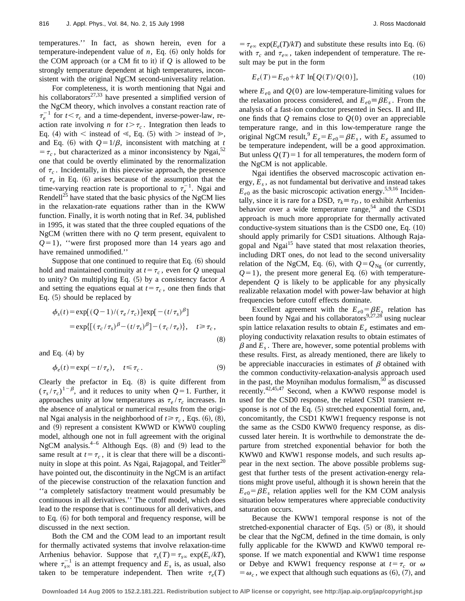temperatures.'' In fact, as shown herein, even for a temperature-independent value of  $n$ , Eq.  $(6)$  only holds for the COM approach (or a CM fit to it) if  $Q$  is allowed to be strongly temperature dependent at high temperatures, inconsistent with the original NgCM second-universality relation.

For completeness, it is worth mentioning that Ngai and his collaborators<sup>27,33</sup> have presented a simplified version of the NgCM theory, which involves a constant reaction rate of  $\tau_e^{-1}$  for  $t < \tau_c$  and a time-dependent, inverse-power-law, reaction rate involving *n* for  $t > \tau_c$ . Integration then leads to Eq. (4) with  $\leq$  instead of  $\leq$ , Eq. (5) with  $\geq$  instead of  $\geq$ , and Eq. (6) with  $Q=1/\beta$ , inconsistent with matching at *t*  $= \tau_c$ , but characterized as a minor inconsistency by Ngai,<sup>52</sup> one that could be overtly eliminated by the renormalization of  $\tau_c$ . Incidentally, in this piecewise approach, the presence of  $\tau_e$  in Eq. (6) arises because of the assumption that the time-varying reaction rate is proportional to  $\tau_e^{-1}$ . Ngai and Rendell<sup>25</sup> have stated that the basic physics of the NgCM lies in the relaxation-rate equations rather than in the KWW function. Finally, it is worth noting that in Ref. 34, published in 1995, it was stated that the three coupled equations of the NgCM (written there with no  $Q$  term present, equivalent to  $Q=1$ ), "were first proposed more than 14 years ago and have remained unmodified.''

Suppose that one continued to require that Eq.  $(6)$  should hold and maintained continuity at  $t = \tau_c$ , even for *Q* unequal to unity? On multiplying Eq. (5) by a consistency factor *A* and setting the equations equal at  $t = \tau_c$ , one then finds that Eq.  $(5)$  should be replaced by

$$
\phi_s(t) = \exp[(Q-1)/(\tau_e/\tau_c)]\exp[-(t/\tau_s)^{\beta}]
$$
  
= 
$$
\exp{[(\tau_c/\tau_s)^{\beta}-(t/\tau_s)^{\beta}]-(\tau_c/\tau_e)}, \quad t \ge \tau_c,
$$
 (8)

and Eq.  $(4)$  by

$$
\phi_e(t) = \exp(-t/\tau_e), \quad t \le \tau_c. \tag{9}
$$

Clearly the prefactor in Eq.  $(8)$  is quite different from  $(\tau_s / \tau_c)^{1-\beta}$ , and it reduces to unity when  $Q=1$ . Further, it approaches unity at low temperatures as  $\tau_e/\tau_c$  increases. In the absence of analytical or numerical results from the original Ngai analysis in the neighborhood of  $t \ge \tau_c$ , Eqs. (6), (8), and  $(9)$  represent a consistent KWWD or KWW0 coupling model, although one not in full agreement with the original NgCM analysis. $4-6$  Although Eqs. (8) and (9) lead to the same result at  $t = \tau_c$ , it is clear that there will be a discontinuity in slope at this point. As Ngai, Rajagopal, and Teitler<sup>20</sup> have pointed out, the discontinuity in the NgCM is an artifact of the piecewise construction of the relaxation function and ''a completely satisfactory treatment would presumably be continuous in all derivatives.'' The cutoff model, which does lead to the response that is continuous for all derivatives, and to Eq.  $(6)$  for both temporal and frequency response, will be discussed in the next section.

Both the CM and the COM lead to an important result for thermally activated systems that involve relaxation-time Arrhenius behavior. Suppose that  $\tau_s(T) = \tau_{s\infty} \exp(E_s/kT)$ , where  $\tau_{s\infty}^{-1}$  is an attempt frequency and  $E_s$  is, as usual, also taken to be temperature independent. Then write  $\tau_e(T)$ 

 $= \tau_{e\infty} \exp(E_e(T)/kT)$  and substitute these results into Eq. (6) with  $\tau_c$  and  $\tau_{e\infty}$ , taken independent of temperature. The result may be put in the form

$$
E_e(T) = E_{e0} + kT \ln[Q(T)/Q(0)], \qquad (10)
$$

where  $E_{e0}$  and  $Q(0)$  are low-temperature-limiting values for the relaxation process considered, and  $E_{e0} = \beta E_s$ . From the analysis of a fast-ion conductor presented in Secs. II and III, one finds that  $Q$  remains close to  $Q(0)$  over an appreciable temperature range, and in this low-temperature range the original NgCM result,  $E_e = E_{e0} = \beta E_s$ , with  $E_e$  assumed to be temperature independent, will be a good approximation. But unless  $Q(T) = 1$  for all temperatures, the modern form of the NgCM is not applicable.

Ngai identifies the observed macroscopic activation energy, *Es* , as not fundamental but derivative and instead takes  $E_{e0}$  as the basic microscopic activation energy.<sup>5,9,16</sup> Incidentally, since it is rare for a DSD,  $\tau_k \equiv \tau_D$ , to exhibit Arrhenius behavior over a wide temperature range,<sup>54</sup> and the CSD1 approach is much more appropriate for thermally activated conductive-system situations than is the CSD0 one, Eq.  $(10)$ should apply primarily for CSD1 situations. Although Rajagopal and Ngai<sup>15</sup> have stated that most relaxation theories, including DRT ones, do not lead to the second universality relation of the NgCM, Eq. (6), with  $Q = Q_{Ng}$  (or currently,  $Q=1$ ), the present more general Eq.  $(6)$  with temperaturedependent *Q* is likely to be applicable for any physically realizable relaxation model with power-law behavior at high frequencies before cutoff effects dominate.

Excellent agreement with the  $E_{e0} = \beta E_s$  relation has been found by Ngai and his collaborators<sup>9,27,28</sup> using nuclear spin lattice relaxation results to obtain  $E_e$  estimates and employing conductivity relaxation results to obtain estimates of  $\beta$  and  $E_s$ . There are, however, some potential problems with these results. First, as already mentioned, there are likely to be appreciable inaccuracies in estimates of  $\beta$  obtained with the common conductivity-relaxation-analysis approach used in the past, the Moynihan modulus formalism, $50$  as discussed recently.<sup>42,45,47</sup> Second, when a KWW0 response model is used for the CSD0 response, the related CSD1 transient response is *not* of the Eq. (5) stretched exponential form, and, concomitantly, the CSD1 KWW1 frequency response is not the same as the CSD0 KWW0 frequency response, as discussed later herein. It is worthwhile to demonstrate the departure from stretched exponential behavior for both the KWW0 and KWW1 response models, and such results appear in the next section. The above possible problems suggest that further tests of the present activation-energy relations might prove useful, although it is shown herein that the  $E_{e0} = \beta E_s$  relation applies well for the KM COM analysis situation below temperatures where appreciable conductivity saturation occurs.

Because the KWW1 temporal response is not of the stretched-exponential character of Eqs.  $(5)$  or  $(8)$ , it should be clear that the NgCM, defined in the time domain, is only fully applicable for the KWWD and KWW0 temporal response. If we match exponential and KWW1 time response or Debye and KWW1 frequency response at  $t = \tau_c$  or  $\omega$  $=\omega_c$ , we expect that although such equations as (6), (7), and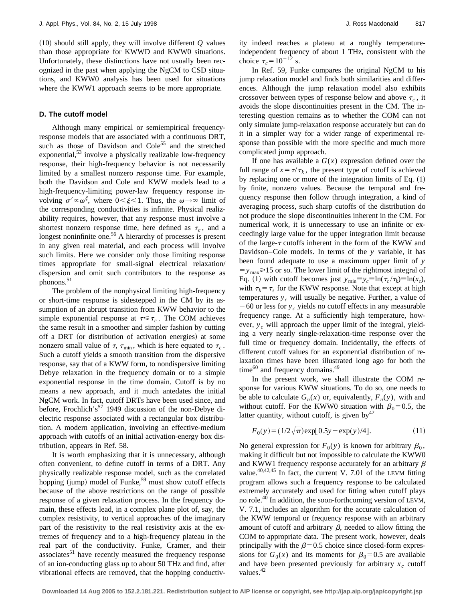$(10)$  should still apply, they will involve different  $Q$  values than those appropriate for KWWD and KWW0 situations. Unfortunately, these distinctions have not usually been recognized in the past when applying the NgCM to CSD situations, and KWW0 analysis has been used for situations where the KWW1 approach seems to be more appropriate.

### **D. The cutoff model**

Although many empirical or semiempirical frequencyresponse models that are associated with a continuous DRT, such as those of Davidson and Cole<sup>55</sup> and the stretched exponential, $53$  involve a physically realizable low-frequency response, their high-frequency behavior is not necessarily limited by a smallest nonzero response time. For example, both the Davidson and Cole and KWW models lead to a high-frequency-limiting power-law frequency response involving  $\sigma' \propto \omega^{\xi}$ , where  $0 < \xi < 1$ . Thus, the  $\omega \rightarrow \infty$  limit of the corresponding conductivities is infinite. Physical realizability requires, however, that any response must involve a shortest nonzero response time, here defined as  $\tau_c$ , and a longest noninfinite one.<sup>56</sup> A hierarchy of processes is present in any given real material, and each process will involve such limits. Here we consider only those limiting response times appropriate for small-signal electrical relaxation/ dispersion and omit such contributors to the response as phonons.<sup>51</sup>

The problem of the nonphysical limiting high-frequency or short-time response is sidestepped in the CM by its assumption of an abrupt transition from KWW behavior to the simple exponential response at  $\tau \leq \tau_c$ . The COM achieves the same result in a smoother and simpler fashion by cutting off a DRT (or distribution of activation energies) at some nonzero small value of  $\tau$ ,  $\tau_{\min}$ , which is here equated to  $\tau_c$ . Such a cutoff yields a smooth transition from the dispersive response, say that of a KWW form, to nondispersive limiting Debye relaxation in the frequency domain or to a simple exponential response in the time domain. Cutoff is by no means a new approach, and it much antedates the initial NgCM work. In fact, cutoff DRTs have been used since, and before, Frochlich's<sup>57</sup> 1949 discussion of the non-Debye dielectric response associated with a rectangular box distribution. A modern application, involving an effective-medium approach with cutoffs of an initial activation-energy box distribution, appears in Ref. 58.

It is worth emphasizing that it is unnecessary, although often convenient, to define cutoff in terms of a DRT. Any physically realizable response model, such as the correlated hopping (jump) model of Funke,<sup>59</sup> must show cutoff effects because of the above restrictions on the range of possible response of a given relaxation process. In the frequency domain, these effects lead, in a complex plane plot of, say, the complex resistivity, to vertical approaches of the imaginary part of the resistivity to the real resistivity axis at the extremes of frequency and to a high-frequency plateau in the real part of the conductivity. Funke, Cramer, and their associates $51$  have recently measured the frequency response of an ion-conducting glass up to about 50 THz and find, after vibrational effects are removed, that the hopping conductivity indeed reaches a plateau at a roughly temperatureindependent frequency of about 1 THz, consistent with the choice  $\tau_c = 10^{-12}$  s.

In Ref. 59, Funke compares the original NgCM to his jump relaxation model and finds both similarities and differences. Although the jump relaxation model also exhibits crossover between types of response below and above  $\tau_c$ , it avoids the slope discontinuities present in the CM. The interesting question remains as to whether the COM can not only simulate jump-relaxation response accurately but can do it in a simpler way for a wider range of experimental response than possible with the more specific and much more complicated jump approach.

If one has available a  $G(x)$  expression defined over the full range of  $x = \tau/\tau_k$ , the present type of cutoff is achieved by replacing one or more of the integration limits of Eq.  $(1)$ by finite, nonzero values. Because the temporal and frequency response then follow through integration, a kind of averaging process, such sharp cutoffs of the distribution do not produce the slope discontinuities inherent in the CM. For numerical work, it is unnecessary to use an infinite or exceedingly large value for the upper integration limit because of the large- $\tau$  cutoffs inherent in the form of the KWW and Davidson–Cole models. In terms of the *y* variable, it has been found adequate to use a maximum upper limit of *y*  $= y_{\text{max}} \ge 15$  or so. The lower limit of the rightmost integral of Eq. (1) with cutoff becomes just  $y_{\text{min}} \equiv y_c \equiv \ln(\tau_c / \tau_k) \equiv \ln(x_c)$ , with  $\tau_k = \tau_s$  for the KWW response. Note that except at high temperatures  $y_c$  will usually be negative. Further, a value of  $-60$  or less for  $y_c$  yields no cutoff effects in any measurable frequency range. At a sufficiently high temperature, however,  $y_c$  will approach the upper limit of the integral, yielding a very nearly single-relaxation-time response over the full time or frequency domain. Incidentally, the effects of different cutoff values for an exponential distribution of relaxation times have been illustrated long ago for both the time $^{60}$  and frequency domains.<sup>49</sup>

In the present work, we shall illustrate the COM response for various KWW situations. To do so, one needs to be able to calculate  $G_n(x)$  or, equivalently,  $F_n(y)$ , with and without cutoff. For the KWW0 situation with  $\beta_0=0.5$ , the latter quantity, without cutoff, is given by  $42$ 

$$
F_0(y) = (1/2\sqrt{\pi})\exp[0.5y - \exp(y)/4].
$$
 (11)

No general expression for  $F_0(y)$  is known for arbitrary  $\beta_0$ , making it difficult but not impossible to calculate the KWW0 and KWW1 frequency response accurately for an arbitrary  $\beta$ value. $40,42,45$  In fact, the current V. 7.01 of the LEVM fitting program allows such a frequency response to be calculated extremely accurately and used for fitting when cutoff plays no role.<sup>40</sup> In addition, the soon-forthcoming version of LEVM, V. 7.1, includes an algorithm for the accurate calculation of the KWW temporal or frequency response with an arbitrary amount of cutoff and arbitrary  $\beta$ , needed to allow fitting the COM to appropriate data. The present work, however, deals principally with the  $\beta$ =0.5 choice since closed-form expressions for  $G_0(x)$  and its moments for  $\beta_0=0.5$  are available and have been presented previously for arbitrary  $x_c$  cutoff values.<sup>42</sup>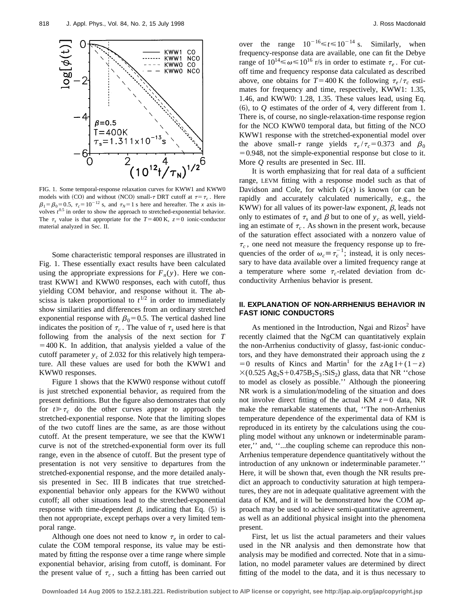

FIG. 1. Some temporal-response relaxation curves for KWW1 and KWW0 models with (CO) and without (NCO) small- $\tau$  DRT cutoff at  $\tau = \tau_c$ . Here  $\beta_1 = \beta_0 = 0.5$ ,  $\tau_c = 10^{-12}$  s, and  $\tau_N = 1$  s here and hereafter. The *x* axis involves  $t^{0.5}$  in order to show the approach to stretched-exponential behavior. The  $\tau_s$  value is that appropriate for the *T*=400 K, *z*=0 ionic-conductor material analyzed in Sec. II.

Some characteristic temporal responses are illustrated in Fig. 1. These essentially exact results have been calculated using the appropriate expressions for  $F_n(y)$ . Here we contrast KWW1 and KWW0 responses, each with cutoff, thus yielding COM behavior, and response without it. The abscissa is taken proportional to  $t^{1/2}$  in order to immediately show similarities and differences from an ordinary stretched exponential response with  $\beta_0=0.5$ . The vertical dashed line indicates the position of  $\tau_c$ . The value of  $\tau_s$  used here is that following from the analysis of the next section for *T*  $=400$  K. In addition, that analysis yielded a value of the cutoff parameter  $y_c$  of 2.032 for this relatively high temperature. All these values are used for both the KWW1 and KWW0 responses.

Figure 1 shows that the KWW0 response without cutoff is just stretched exponential behavior, as required from the present definitions. But the figure also demonstrates that only for  $t \ge \tau_c$  do the other curves appear to approach the stretched-exponential response. Note that the limiting slopes of the two cutoff lines are the same, as are those without cutoff. At the present temperature, we see that the KWW1 curve is not of the stretched-exponential form over its full range, even in the absence of cutoff. But the present type of presentation is not very sensitive to departures from the stretched-exponential response, and the more detailed analysis presented in Sec. III B indicates that true stretchedexponential behavior only appears for the KWW0 without cutoff; all other situations lead to the stretched-exponential response with time-dependent  $\beta$ , indicating that Eq. (5) is then not appropriate, except perhaps over a very limited temporal range.

Although one does not need to know  $\tau_e$  in order to calculate the COM temporal response, its value may be estimated by fitting the response over a time range where simple exponential behavior, arising from cutoff, is dominant. For the present value of  $\tau_c$ , such a fitting has been carried out over the range  $10^{-16} \le t \le 10^{-14}$  s. Similarly, when frequency-response data are available, one can fit the Debye range of  $10^{14} \le \omega \le 10^{16}$  r/s in order to estimate  $\tau_e$ . For cutoff time and frequency response data calculated as described above, one obtains for  $T=400$  K the following  $\tau_e / \tau_c$  estimates for frequency and time, respectively, KWW1: 1.35, 1.46, and KWW0: 1.28, 1.35. These values lead, using Eq.  $(6)$ , to  $Q$  estimates of the order of 4, very different from 1. There is, of course, no single-relaxation-time response region for the NCO KWW0 temporal data, but fitting of the NCO KWW1 response with the stretched-exponential model over the above small- $\tau$  range yields  $\tau_e / \tau_c = 0.373$  and  $\beta_0$  $=0.948$ , not the simple-exponential response but close to it. More *Q* results are presented in Sec. III.

It is worth emphasizing that for real data of a sufficient range, LEVM fitting with a response model such as that of Davidson and Cole, for which  $G(x)$  is known (or can be rapidly and accurately calculated numerically, e.g., the KWW) for all values of its power-law exponent,  $\beta$ , leads not only to estimates of  $\tau_s$  and  $\beta$  but to one of  $y_c$  as well, yielding an estimate of  $\tau_c$ . As shown in the present work, because of the saturation effect associated with a nonzero value of  $\tau_c$ , one need not measure the frequency response up to frequencies of the order of  $\omega_c \equiv \tau_c^{-1}$ ; instead, it is only necessary to have data available over a limited frequency range at a temperature where some  $\tau_c$ -related deviation from dcconductivity Arrhenius behavior is present.

# **II. EXPLANATION OF NON-ARRHENIUS BEHAVIOR IN FAST IONIC CONDUCTORS**

As mentioned in the Introduction, Ngai and  $Rizos<sup>2</sup>$  have recently claimed that the NgCM can quantitatively explain the non-Arrhenius conductivity of glassy, fast-ionic conductors, and they have demonstrated their approach using the *z*  $=0$  results of Kincs and Martin<sup>1</sup> for the  $zAg I+(1-z)$  $\times$ (0.525 Ag<sub>2</sub>S+0.475B<sub>2</sub>S<sub>3</sub>:SiS<sub>2</sub>) glass, data that NR "chose to model as closely as possible.'' Although the pioneering NR work is a simulation/modeling of the situation and does not involve direct fitting of the actual KM  $z=0$  data, NR make the remarkable statements that, ''The non-Arrhenius temperature dependence of the experimental data of KM is reproduced in its entirety by the calculations using the coupling model without any unknown or indeterminable parameter,'' and, ''...the coupling scheme can reproduce this non-Arrhenius temperature dependence quantitatively without the introduction of any unknown or indeterminable parameter.'' Here, it will be shown that, even though the NR results predict an approach to conductivity saturation at high temperatures, they are not in adequate qualitative agreement with the data of KM, and it will be demonstrated how the COM approach may be used to achieve semi-quantitative agreement, as well as an additional physical insight into the phenomena present.

First, let us list the actual parameters and their values used in the NR analysis and then demonstrate how that analysis may be modified and corrected. Note that in a simulation, no model parameter values are determined by direct fitting of the model to the data, and it is thus necessary to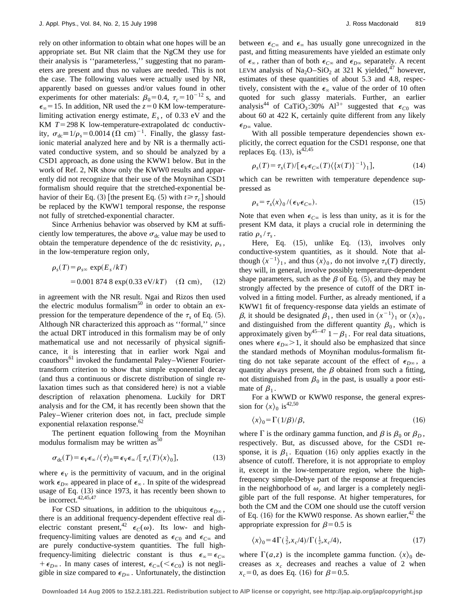rely on other information to obtain what one hopes will be an appropriate set. But NR claim that the NgCM they use for their analysis is ''parameterless,'' suggesting that no parameters are present and thus no values are needed. This is not the case. The following values were actually used by NR, apparently based on guesses and/or values found in other experiments for other materials:  $\beta_0 = 0.4$ ,  $\tau_c = 10^{-12}$  s, and  $\epsilon_{\infty}$  = 15. In addition, NR used the  $z=0$  KM low-temperaturelimiting activation energy estimate,  $E_s$ , of 0.33 eV and the KM  $T=298$  K low-temperature-extrapolated dc conductivity,  $\sigma_{\text{dc}} = 1/\rho_s = 0.0014$  ( $\Omega$  cm)<sup>-1</sup>. Finally, the glassy fastionic material analyzed here and by NR is a thermally activated conductive system, and so should be analyzed by a CSD1 approach, as done using the KWW1 below. But in the work of Ref. 2, NR show only the KWW0 results and apparently did not recognize that their use of the Moynihan CSD1 formalism should require that the stretched-exponential behavior of their Eq. (3) [the present Eq. (5) with  $t \ge \tau_c$ ] should be replaced by the KWW1 temporal response, the response not fully of stretched-exponential character.

Since Arrhenius behavior was observed by KM at sufficiently low temperatures, the above  $\sigma_{\rm dc}$  value may be used to obtain the temperature dependence of the dc resistivity,  $\rho_s$ , in the low-temperature region only,

$$
\rho_s(T) = \rho_{s\infty} \exp(E_s/kT)
$$
  
= 0.001 874 8 exp(0.33 eV/kT) (Ω cm), (12)

in agreement with the NR result. Ngai and Rizos then used the electric modulus formalism<sup>50</sup> in order to obtain an expression for the temperature dependence of the  $\tau_s$  of Eq. (5). Although NR characterized this approach as ''formal,'' since the actual DRT introduced in this formalism may be of only mathematical use and not necessarily of physical significance, it is interesting that in earlier work Ngai and coauthors<sup>61</sup> invoked the fundamental Paley–Wiener Fouriertransform criterion to show that simple exponential decay (and thus a continuous or discrete distribution of single relaxation times such as that considered here) is not a viable description of relaxation phenomena. Luckily for DRT analysis and for the CM, it has recently been shown that the Paley–Wiener criterion does not, in fact, preclude simple exponential relaxation response.<sup>62</sup>

The pertinent equation following from the Moynihan modulus formalism may be written  $\text{as}^{50}$ 

$$
\sigma_{\rm dc}(T) = \epsilon_V \epsilon_\infty / \langle \tau \rangle_0 \equiv \epsilon_V \epsilon_\infty / [\tau_s(T) \langle x \rangle_0], \tag{13}
$$

where  $\epsilon_V$  is the permittivity of vacuum, and in the original work  $\epsilon_{D\infty}$  appeared in place of  $\epsilon_{\infty}$ . In spite of the widespread usage of Eq.  $(13)$  since 1973, it has recently been shown to be incorrect.<sup>42,45,47</sup>

For CSD situations, in addition to the ubiquitous  $\epsilon_{D^\infty}$ , there is an additional frequency-dependent effective real dielectric constant present,<sup>42</sup>  $\epsilon_C(\omega)$ . Its low- and highfrequency-limiting values are denoted as  $\epsilon_{C0}$  and  $\epsilon_{C\infty}$  and are purely conductive-system quantities. The full highfrequency-limiting dielectric constant is thus  $\epsilon_{\infty} = \epsilon_{C\infty}$  $+\epsilon_{D^\infty}$ . In many cases of interest,  $\epsilon_{C^\infty}(<\epsilon_{C0})$  is not negligible in size compared to  $\epsilon_{D^\infty}$ . Unfortunately, the distinction between  $\epsilon_{C^\infty}$  and  $\epsilon_\infty$  has usually gone unrecognized in the past, and fitting measurements have yielded an estimate only of  $\epsilon_{\infty}$ , rather than of both  $\epsilon_{C\infty}$  and  $\epsilon_{D\infty}$  separately. A recent LEVM analysis of  $Na<sub>2</sub>O-SiO<sub>2</sub>$  at 321 K yielded,<sup>47</sup> however, estimates of these quantities of about 5.3 and 4.8, respectively, consistent with the  $\epsilon_{\infty}$  value of the order of 10 often quoted for such glassy materials. Further, an earlier analysis<sup>44</sup> of CaTiO<sub>3</sub>:30% Al<sup>3+</sup> suggested that  $\epsilon_{C0}$  was about 60 at 422 K, certainly quite different from any likely  $\epsilon_{D^\infty}$  value.

With all possible temperature dependencies shown explicitly, the correct equation for the CSD1 response, one that replaces Eq.  $(13)$ , is<sup>42,45</sup>

$$
\rho_s(T) = \tau_s(T) / \left[ \epsilon_V \epsilon_{C\infty}(T) \langle \{x(T)\}^{-1} \rangle_1 \right],\tag{14}
$$

which can be rewritten with temperature dependence suppressed as

$$
\rho_s = \tau_s \langle x \rangle_0 / (\epsilon_V \epsilon_{C^{\infty}}). \tag{15}
$$

Note that even when  $\epsilon_{C^\infty}$  is less than unity, as it is for the present KM data, it plays a crucial role in determining the ratio  $\rho_s/\tau_s$ .

Here, Eq.  $(15)$ , unlike Eq.  $(13)$ , involves only conductive-system quantities, as it should. Note that although  $\langle x^{-1} \rangle_1$ , and thus  $\langle x \rangle_0$ , do not involve  $\tau_s(T)$  directly, they will, in general, involve possibly temperature-dependent shape parameters, such as the  $\beta$  of Eq. (5), and they may be strongly affected by the presence of cutoff of the DRT involved in a fitting model. Further, as already mentioned, if a KWW1 fit of frequency-response data yields an estimate of  $\beta$ , it should be designated  $\beta_1$ , then used in  $\langle x^{-1} \rangle_1$  or  $\langle x \rangle_0$ , and distinguished from the different quantity  $\beta_0$ , which is approximately given by<sup>45–47</sup>  $1-\beta_1$ . For real data situations, ones where  $\epsilon_{D\infty}$  it should also be emphasized that since the standard methods of Moynihan modulus-formalism fitting do not take separate account of the effect of  $\epsilon_{D\infty}$ , a quantity always present, the  $\beta$  obtained from such a fitting, not distinguished from  $\beta_0$  in the past, is usually a poor estimate of  $\beta_1$ .

For a KWWD or KWW0 response, the general expression for  $\langle x \rangle_0$  is<sup>42,50</sup>

$$
\langle x \rangle_0 = \Gamma(1/\beta)/\beta,\tag{16}
$$

where  $\Gamma$  is the ordinary gamma function, and  $\beta$  is  $\beta_0$  or  $\beta_D$ , respectively. But, as discussed above, for the CSD1 response, it is  $\beta_1$ . Equation (16) only applies exactly in the absence of cutoff. Therefore, it is not appropriate to employ it, except in the low-temperature region, where the highfrequency simple-Debye part of the response at frequencies in the neighborhood of  $\omega_c$  and larger is a completely negligible part of the full response. At higher temperatures, for both the CM and the COM one should use the cutoff version of Eq.  $(16)$  for the KWW0 response. As shown earlier,<sup>42</sup> the appropriate expression for  $\beta$ =0.5 is

$$
\langle x \rangle_0 = 4\Gamma(\frac{3}{2}, x_c/4)/\Gamma(\frac{1}{2}, x_c/4),\tag{17}
$$

where  $\Gamma(a,z)$  is the incomplete gamma function.  $\langle x \rangle_0$  decreases as  $x_c$  decreases and reaches a value of 2 when  $x_c = 0$ , as does Eq. (16) for  $\beta = 0.5$ .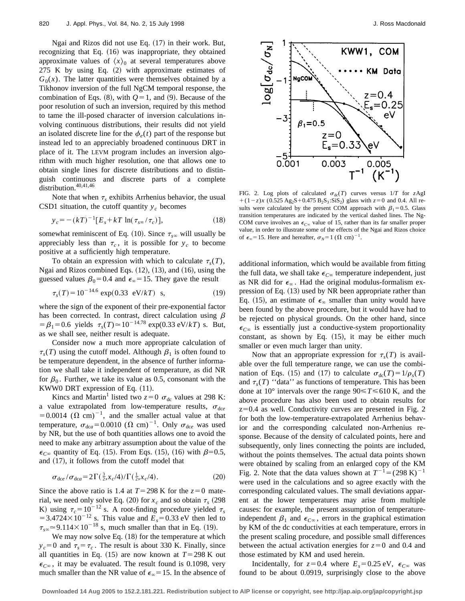Ngai and Rizos did not use Eq.  $(17)$  in their work. But, recognizing that Eq.  $(16)$  was inappropriate, they obtained approximate values of  $\langle x \rangle$ <sup>0</sup> at several temperatures above  $275$  K by using Eq.  $(2)$  with approximate estimates of  $G_0(x)$ . The latter quantities were themselves obtained by a Tikhonov inversion of the full NgCM temporal response, the combination of Eqs. (8), with  $Q=1$ , and (9). Because of the poor resolution of such an inversion, required by this method to tame the ill-posed character of inversion calculations involving continuous distributions, their results did not yield an isolated discrete line for the  $\phi_e(t)$  part of the response but instead led to an appreciably broadened continuous DRT in place of it. The LEVM program includes an inversion algorithm with much higher resolution, one that allows one to obtain single lines for discrete distributions and to distinguish continuous and discrete parts of a complete distribution.<sup>40,41,46</sup>

Note that when  $\tau_s$  exhibits Arrhenius behavior, the usual CSD1 situation, the cutoff quantity  $y_c$  becomes

$$
y_c = -(kT)^{-1} [E_s + kT \ln(\tau_{s\infty}/\tau_c)],
$$
 (18)

somewhat reminiscent of Eq. (10). Since  $\tau_{s\infty}$  will usually be appreciably less than  $\tau_c$ , it is possible for  $y_c$  to become positive at a sufficiently high temperature.

To obtain an expression with which to calculate  $\tau_s(T)$ , Ngai and Rizos combined Eqs.  $(12)$ ,  $(13)$ , and  $(16)$ , using the guessed values  $\beta_0$ =0.4 and  $\epsilon_\infty$ =15. They gave the result

$$
\tau_s(T) = 10^{-14.6} \exp(0.33 \text{ eV}/kT) \text{ s}, \qquad (19)
$$

where the sign of the exponent of their pre-exponential factor has been corrected. In contrast, direct calculation using  $\beta$  $= \beta_1 = 0.6$  yields  $\tau_s(T) \approx 10^{-14.78}$  exp(0.33 eV/*kT*) s. But, as we shall see, neither result is adequate.

Consider now a much more appropriate calculation of  $\tau_s(T)$  using the cutoff model. Although  $\beta_1$  is often found to be temperature dependent, in the absence of further information we shall take it independent of temperature, as did NR for  $\beta_0$ . Further, we take its value as 0.5, consonant with the KWW0 DRT expression of Eq.  $(11)$ .

Kincs and Martin<sup>1</sup> listed two  $z=0$   $\sigma_{dc}$  values at 298 K: a value extrapolated from low-temperature results,  $\sigma_{\text{dec}}$  $=0.0014$  ( $\Omega$  cm)<sup>-1</sup>, and the smaller actual value at that temperature,  $\sigma_{\text{dca}}$ =0.0010 ( $\Omega$  cm)<sup>-1</sup>. Only  $\sigma_{\text{dce}}$  was used by NR, but the use of both quantities allows one to avoid the need to make any arbitrary assumption about the value of the  $\epsilon_{C\infty}$  quantity of Eq. (15). From Eqs. (15), (16) with  $\beta=0.5$ , and  $(17)$ , it follows from the cutoff model that

$$
\sigma_{\text{dce}}/\sigma_{\text{dca}} = 2\Gamma(\frac{3}{2}, x_c/4)/\Gamma(\frac{1}{2}, x_c/4). \tag{20}
$$

Since the above ratio is 1.4 at  $T = 298$  K for the  $z = 0$  material, we need only solve Eq. (20) for  $x_c$  and so obtain  $\tau_s$  (298) K) using  $\tau_c = 10^{-12}$  s. A root-finding procedure yielded  $\tau_s$  $=$  3.4724 $\times$ 10<sup>-12</sup> s. This value and  $E_s$  = 0.33 eV then led to  $\tau_{\rm ss} \approx 9.114 \times 10^{-18}$  s, much smaller than that in Eq. (19).

We may now solve Eq.  $(18)$  for the temperature at which  $y_c=0$  and  $\tau_s = \tau_c$ . The result is about 330 K. Finally, since all quantities in Eq.  $(15)$  are now known at  $T=298$  K out  $\epsilon_{C\infty}$ , it may be evaluated. The result found is 0.1098, very much smaller than the NR value of  $\epsilon_{\infty}$  = 15. In the absence of



FIG. 2. Log plots of calculated  $\sigma_{dc}(T)$  curves versus  $1/T$  for *z*AgI  $+(1-z)x$  (0.525 Ag<sub>2</sub>S+0.475 B<sub>2</sub>S<sub>3</sub>:SiS<sub>2</sub>) glass with  $z=0$  and 0.4. All results were calculated by the present COM approach with  $\beta_1=0.5$ . Glass transition temperatures are indicated by the vertical dashed lines. The Ng-COM curve involves an  $\epsilon_{C^\infty}$  value of 15, rather than its far smaller proper value, in order to illustrate some of the effects of the Ngai and Rizos choice of  $\epsilon_{\infty}$ =15. Here and hereafter,  $\sigma_N$ =1 ( $\Omega$  cm)<sup>-1</sup>.

additional information, which would be available from fitting the full data, we shall take  $\epsilon_{C^\infty}$  temperature independent, just as NR did for  $\epsilon_{\infty}$ . Had the original modulus-formalism expression of Eq.  $(13)$  used by NR been appropriate rather than Eq. (15), an estimate of  $\epsilon_{\infty}$  smaller than unity would have been found by the above procedure, but it would have had to be rejected on physical grounds. On the other hand, since  $\epsilon_{C\infty}$  is essentially just a conductive-system proportionality constant, as shown by Eq.  $(15)$ , it may be either much smaller or even much larger than unity.

Now that an appropriate expression for  $\tau_s(T)$  is available over the full temperature range, we can use the combination of Eqs. (15) and (17) to calculate  $\sigma_{dc}(T) = 1/\rho_s(T)$ and  $\tau_s(T)$  "data" as functions of temperature. This has been done at 10° intervals over the range  $90 \le T \le 610$  K, and the above procedure has also been used to obtain results for  $z=0.4$  as well. Conductivity curves are presented in Fig. 2 for both the low-temperature-extrapolated Arrhenius behavior and the corresponding calculated non-Arrhenius response. Because of the density of calculated points, here and subsequently, only lines connecting the points are included, without the points themselves. The actual data points shown were obtained by scaling from an enlarged copy of the KM Fig. 2. Note that the data values shown at  $T^{-1} = (298 \text{ K})^{-1}$ were used in the calculations and so agree exactly with the corresponding calculated values. The small deviations apparent at the lower temperatures may arise from multiple causes: for example, the present assumption of temperatureindependent  $\beta_1$  and  $\epsilon_{C\infty}$ , errors in the graphical estimation by KM of the dc conductivities at each temperature, errors in the present scaling procedure, and possible small differences between the actual activation energies for  $z=0$  and 0.4 and those estimated by KM and used herein.

Incidentally, for  $z=0.4$  where  $E_s=0.25$  eV,  $\epsilon_{C\infty}$  was found to be about 0.0919, surprisingly close to the above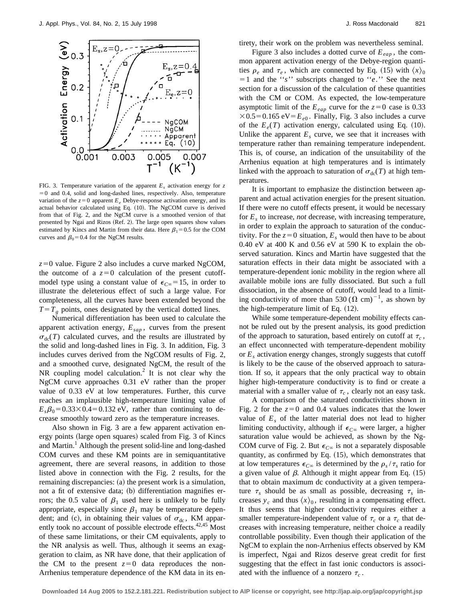

FIG. 3. Temperature variation of the apparent  $E<sub>s</sub>$  activation energy for  $z$  $=0$  and 0.4, solid and long-dashed lines, respectively. Also, temperature variation of the  $z=0$  apparent  $E_e$  Debye-response activation energy, and its actual behavior calculated using Eq. (10). The NgCOM curve is derived from that of Fig. 2, and the NgCM curve is a smoothed version of that presented by Ngai and Rizos (Ref. 2). The large open squares show values estimated by Kincs and Martin from their data. Here  $\beta_1=0.5$  for the COM curves and  $\beta_0$ =0.4 for the NgCM results.

 $z=0$  value. Figure 2 also includes a curve marked NgCOM, the outcome of a  $z=0$  calculation of the present cutoffmodel type using a constant value of  $\epsilon_{C\infty}$ =15, in order to illustrate the deleterious effect of such a large value. For completeness, all the curves have been extended beyond the  $T=T<sub>g</sub>$  points, ones designated by the vertical dotted lines.

Numerical differentiation has been used to calculate the apparent activation energy, *Esap* , curves from the present  $\sigma_{dc}(T)$  calculated curves, and the results are illustrated by the solid and long-dashed lines in Fig. 3. In addition, Fig. 3 includes curves derived from the NgCOM results of Fig. 2, and a smoothed curve, designated NgCM, the result of the  $NR$  coupling model calculation.<sup>2</sup> It is not clear why the NgCM curve approaches 0.31 eV rather than the proper value of 0.33 eV at low temperatures. Further, this curve reaches an implausible high-temperature limiting value of  $E_s\beta_0=0.33\times0.4=0.132$  eV, rather than continuing to decrease smoothly toward zero as the temperature increases.

Also shown in Fig. 3 are a few apparent activation energy points (large open squares) scaled from Fig. 3 of Kincs and Martin.<sup>1</sup> Although the present solid-line and long-dashed COM curves and these KM points are in semiquantitative agreement, there are several reasons, in addition to those listed above in connection with the Fig. 2 results, for the remaining discrepancies: (a) the present work is a simulation, not a fit of extensive data; (b) differentiation magnifies errors; the 0.5 value of  $\beta_1$  used here is unlikely to be fully appropriate, especially since  $\beta_1$  may be temperature dependent; and (c), in obtaining their values of  $\sigma_{dc}$ , KM apparently took no account of possible electrode effects.<sup>42,45</sup> Most of these same limitations, or their CM equivalents, apply to the NR analysis as well. Thus, although it seems an exaggeration to claim, as NR have done, that their application of the CM to the present  $z=0$  data reproduces the non-Arrhenius temperature dependence of the KM data in its entirety, their work on the problem was nevertheless seminal.

Figure 3 also includes a dotted curve of  $E_{\text{cap}}$ , the common apparent activation energy of the Debye-region quantities  $\rho_e$  and  $\tau_e$ , which are connected by Eq. (15) with  $\langle x \rangle_0$  $=1$  and the ''*s*'' subscripts changed to ''*e*.'' See the next section for a discussion of the calculation of these quantities with the CM or COM. As expected, the low-temperature asymptotic limit of the  $E_{\text{eap}}$  curve for the  $z=0$  case is 0.33  $\times$ 0.5=0.165 eV= $E_{e0}$ . Finally, Fig. 3 also includes a curve of the  $E_e(T)$  activation energy, calculated using Eq. (10). Unlike the apparent  $E<sub>s</sub>$  curve, we see that it increases with temperature rather than remaining temperature independent. This is, of course, an indication of the unsuitability of the Arrhenius equation at high temperatures and is intimately linked with the approach to saturation of  $\sigma_{dc}(T)$  at high temperatures.

It is important to emphasize the distinction between apparent and actual activation energies for the present situation. If there were no cutoff effects present, it would be necessary for  $E<sub>s</sub>$  to increase, *not* decrease, with increasing temperature, in order to explain the approach to saturation of the conductivity. For the  $z=0$  situation,  $E<sub>s</sub>$  would then have to be about 0.40 eV at 400 K and 0.56 eV at 590 K to explain the observed saturation. Kincs and Martin have suggested that the saturation effects in their data might be associated with a temperature-dependent ionic mobility in the region where all available mobile ions are fully dissociated. But such a full dissociation, in the absence of cutoff, would lead to a limiting conductivity of more than 530 ( $\Omega$  cm)<sup>-1</sup>, as shown by the high-temperature limit of Eq.  $(12)$ .

While some temperature-dependent mobility effects cannot be ruled out by the present analysis, its good prediction of the approach to saturation, based entirely on cutoff at  $\tau_c$ , an effect unconnected with temperature-dependent mobility or *Es* activation energy changes, strongly suggests that cutoff is likely to be the cause of the observed approach to saturation. If so, it appears that the only practical way to obtain higher high-temperature conductivity is to find or create a material with a smaller value of  $\tau_c$ , clearly not an easy task.

A comparison of the saturated conductivities shown in Fig. 2 for the  $z=0$  and 0.4 values indicates that the lower value of  $E<sub>s</sub>$  of the latter material does not lead to higher limiting conductivity, although if  $\epsilon_{C^\infty}$  were larger, a higher saturation value would be achieved, as shown by the Ng-COM curve of Fig. 2. But  $\epsilon_{C^{\infty}}$  is not a separately disposable quantity, as confirmed by Eq.  $(15)$ , which demonstrates that at low temperatures  $\epsilon_{C\infty}$  is determined by the  $\rho_s/\tau_s$  ratio for a given value of  $\beta$ . Although it might appear from Eq. (15) that to obtain maximum dc conductivity at a given temperature  $\tau_s$  should be as small as possible, decreasing  $\tau_s$  increases  $y_c$  and thus  $\langle x \rangle_0$ , resulting in a compensating effect. It thus seems that higher conductivity requires either a smaller temperature-independent value of  $\tau_c$  or a  $\tau_c$  that decreases with increasing temperature, neither choice a readily controllable possibility. Even though their application of the NgCM to explain the non-Arrhenius effects observed by KM is imperfect, Ngai and Rizos deserve great credit for first suggesting that the effect in fast ionic conductors is associated with the influence of a nonzero  $\tau_c$ .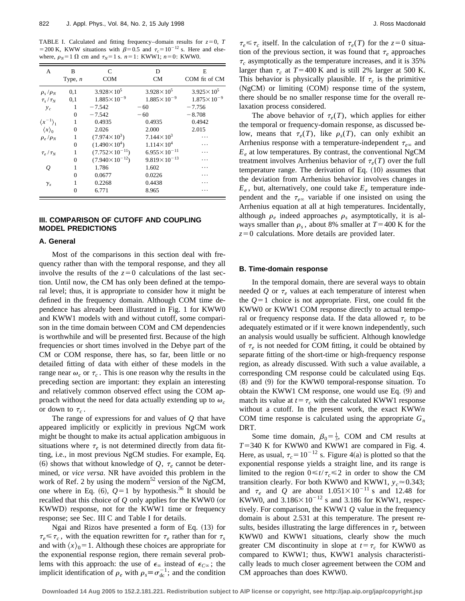TABLE I. Calculated and fitting frequency–domain results for  $z=0$ , *T* = 200 K, KWW situations with  $\beta$ =0.5 and  $\tau_c$ =10<sup>-12</sup> s. Here and elsewhere,  $\rho_N = 1 \Omega$  cm and  $\tau_N = 1$  s.  $n = 1$ : KWW1;  $n = 0$ : KWW0.

| A                          | R         | $\mathcal{C}$             | D                       | E                      |
|----------------------------|-----------|---------------------------|-------------------------|------------------------|
|                            | Type, $n$ | COM                       | <b>CM</b>               | COM fit of CM          |
| $\rho_s/\rho_N$            | 0,1       | $3.928 \times 10^5$       | $3.928 \times 10^5$     | $3.925 \times 10^5$    |
| $\tau_{s}/\tau_{N}$        | 0,1       | $1.885 \times 10^{-9}$    | $1.885 \times 10^{-9}$  | $1.875 \times 10^{-9}$ |
| $y_c$                      | 1         | $-7.542$                  | $-60$                   | $-7.756$               |
|                            | $\theta$  | $-7.542$                  | $-60$                   | $-8.708$               |
| $\langle x^{-1} \rangle_1$ |           | 0.4935                    | 0.4935                  | 0.4942                 |
| $\langle x \rangle_0$      | 0         | 2.026                     | 2.000                   | 2.015                  |
| $\rho_e/\rho_N$            |           | $(7.974 \times 10^3)$     | $7.144 \times 10^3$     |                        |
|                            | $\theta$  | $(1.490 \times 10^{4})$   | $1.114 \times 10^{4}$   |                        |
| $\tau_e/\tau_N$            |           | $(7.752 \times 10^{-11})$ | $6.955 \times 10^{-11}$ |                        |
|                            | $\theta$  | $(7.940 \times 10^{-12})$ | $9.819 \times 10^{-13}$ |                        |
| Q                          | 1         | 1.786                     | 1.602                   |                        |
|                            | $\theta$  | 0.0677                    | 0.0226                  |                        |
| $\gamma_{\text{x}}$        |           | 0.2268                    | 0.4438                  |                        |
|                            | $\Omega$  | 6.771                     | 8.965                   |                        |

# **III. COMPARISON OF CUTOFF AND COUPLING MODEL PREDICTIONS**

#### **A. General**

Most of the comparisons in this section deal with frequency rather than with the temporal response, and they all involve the results of the  $z=0$  calculations of the last section. Until now, the CM has only been defined at the temporal level; thus, it is appropriate to consider how it might be defined in the frequency domain. Although COM time dependence has already been illustrated in Fig. 1 for KWW0 and KWW1 models with and without cutoff, some comparison in the time domain between COM and CM dependencies is worthwhile and will be presented first. Because of the high frequencies or short times involved in the Debye part of the CM or COM response, there has, so far, been little or no detailed fitting of data with either of these models in the range near  $\omega_c$  or  $\tau_c$ . This is one reason why the results in the preceding section are important: they explain an interesting and relatively common observed effect using the COM approach without the need for data actually extending up to  $\omega_c$ or down to  $\tau_c$ .

The range of expressions for and values of *Q* that have appeared implicitly or explicitly in previous NgCM work might be thought to make its actual application ambiguous in situations where  $\tau_e$  is not determined directly from data fitting, i.e., in most previous NgCM studies. For example, Eq. (6) shows that without knowledge of  $Q$ ,  $\tau_e$  cannot be determined, or *vice versa*. NR have avoided this problem in the work of Ref. 2 by using the modern<sup>52</sup> version of the NgCM, one where in Eq. (6),  $Q=1$  by hypothesis.<sup>36</sup> It should be recalled that this choice of  $Q$  only applies for the KWW0 (or KWWD) response, not for the KWW1 time or frequency response; see Sec. III C and Table I for details.

Ngai and Rizos have presented a form of Eq.  $(13)$  for  $\tau_e \leq \tau_c$ , with the equation rewritten for  $\tau_e$  rather than for  $\tau_s$ and with  $\langle x \rangle_0 = 1$ . Although these choices are appropriate for the exponential response region, there remain several problems with this approach: the use of  $\epsilon_{\infty}$  instead of  $\epsilon_{C\infty}$ ; the implicit identification of  $\rho_e$  with  $\rho_s \equiv \sigma_{dc}^{-1}$ ; and the condition  $\tau_e \leq \tau_c$  itself. In the calculation of  $\tau_e(T)$  for the  $z=0$  situation of the previous section, it was found that  $\tau_e$  approaches  $\tau_c$  asymptotically as the temperature increases, and it is 35% larger than  $\tau_c$  at  $T = 400$  K and is still 2% larger at 500 K. This behavior is physically plausible. If  $\tau_c$  is the primitive  $(NgCM)$  or limiting  $(COM)$  response time of the system, there should be no smaller response time for the overall relaxation process considered.

The above behavior of  $\tau_e(T)$ , which applies for either the temporal or frequency-domain response, as discussed below, means that  $\tau_e(T)$ , like  $\rho_s(T)$ , can only exhibit an Arrhenius response with a temperature-independent  $\tau_{\varphi\infty}$  and  $E<sub>e</sub>$  at low temperatures. By contrast, the conventional NgCM treatment involves Arrhenius behavior of  $\tau_e(T)$  over the full temperature range. The derivation of Eq.  $(10)$  assumes that the deviation from Arrhenius behavior involves changes in  $E_e$ , but, alternatively, one could take  $E_e$  temperature independent and the  $\tau_{\varphi\infty}$  variable if one insisted on using the Arrhenius equation at all at high temperatures. Incidentally, although  $\rho_e$  indeed approaches  $\rho_s$  asymptotically, it is always smaller than  $\rho_s$ , about 8% smaller at  $T = 400$  K for the  $z=0$  calculations. More details are provided later.

### **B. Time-domain response**

In the temporal domain, there are several ways to obtain needed  $Q$  or  $\tau_e$  values at each temperature of interest when the  $Q=1$  choice is not appropriate. First, one could fit the KWW0 or KWW1 COM response directly to actual temporal or frequency response data. If the data allowed  $\tau_c$  to be adequately estimated or if it were known independently, such an analysis would usually be sufficient. Although knowledge of  $\tau_e$  is not needed for COM fitting, it could be obtained by separate fitting of the short-time or high-frequency response region, as already discussed. With such a value available, a corresponding CM response could be calculated using Eqs.  $(8)$  and  $(9)$  for the KWW0 temporal-response situation. To obtain the KWW1 CM response, one would use Eq.  $(9)$  and match its value at  $t = \tau_c$  with the calculated KWW1 response without a cutoff. In the present work, the exact KWW*n* COM time response is calculated using the appropriate  $G_n$ DRT.

Some time domain,  $\beta_0 = \frac{1}{3}$ , COM and CM results at  $T=340$  K for KWW0 and KWW1 are compared in Fig. 4. Here, as usual,  $\tau_c = 10^{-12}$  s. Figure 4(a) is plotted so that the exponential response yields a straight line, and its range is limited to the region  $0 \le t/\tau_c \le 2$  in order to show the CM transition clearly. For both KWW0 and KWW1,  $y_c \approx 0.343$ ; and  $\tau_e$  and Q are about  $1.051 \times 10^{-11}$  s and 12.48 for KWW0, and  $3.186 \times 10^{-12}$  s and 3.186 for KWW1, respectively. For comparison, the KWW1 *Q* value in the frequency domain is about 2.531 at this temperature. The present results, besides illustrating the large differences in  $\tau_e$  between KWW0 and KWW1 situations, clearly show the much greater CM discontinuity in slope at  $t = \tau_c$  for KWW0 as compared to KWW1; thus, KWW1 analysis characteristically leads to much closer agreement between the COM and CM approaches than does KWW0.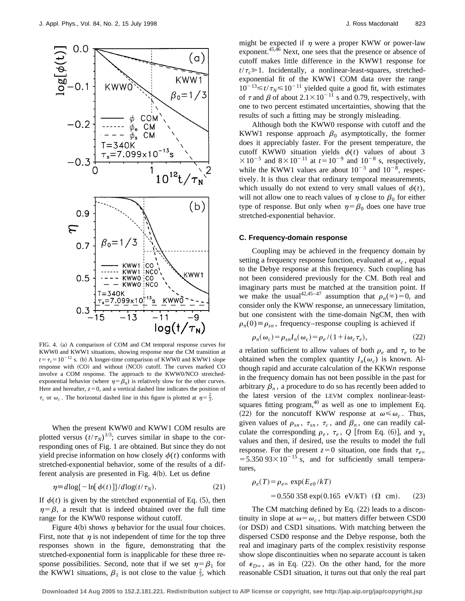

FIG. 4. (a) A comparison of COM and CM temporal response curves for KWW0 and KWW1 situations, showing response near the CM transition at  $t = \tau_c = 10^{-12}$  s. (b) A longer-time comparison of KWW0 and KWW1 slope response with (CO) and without (NCO) cutoff. The curves marked CO involve a COM response. The approach to the KWW0/NCO stretchedexponential behavior (where  $\eta = \beta_0$ ) is relatively slow for the other curves. Here and hereafter,  $z=0$ , and a vertical dashed line indicates the position of  $\tau_c$  or  $\omega_c$ . The horizontal dashed line in this figure is plotted at  $\eta = \frac{2}{3}$ .

When the present KWW0 and KWW1 COM results are plotted versus  $(t/\tau_N)^{1/3}$ ; curves similar in shape to the corresponding ones of Fig. 1 are obtained. But since they do not yield precise information on how closely  $\phi(t)$  conforms with stretched-exponential behavior, some of the results of a different analysis are presented in Fig.  $4(b)$ . Let us define

$$
\eta \equiv d \log \{-\ln[\phi(t)]\} / d \log(t/\tau_N). \tag{21}
$$

If  $\phi(t)$  is given by the stretched exponential of Eq. (5), then  $\eta = \beta$ , a result that is indeed obtained over the full time range for the KWW0 response without cutoff.

Figure 4(b) shows  $\eta$  behavior for the usual four choices. First, note that  $\eta$  is not independent of time for the top three responses shown in the figure, demonstrating that the stretched-exponential form is inapplicable for these three response possibilities. Second, note that if we set  $\eta = \beta_1$  for the KWW1 situations,  $\beta_1$  is not close to the value  $\frac{2}{3}$ , which

might be expected if  $\eta$  were a proper KWW or power-law exponent.<sup>45,46</sup> Next, one sees that the presence or absence of cutoff makes little difference in the KWW1 response for  $t/\tau_c \geq 1$ . Incidentally, a nonlinear-least-squares, stretchedexponential fit of the KWW1 COM data over the range  $10^{-13} \le t/\tau_N \le 10^{-11}$  yielded quite a good fit, with estimates of  $\tau$  and  $\beta$  of about  $2.1 \times 10^{-11}$  s and 0.79, respectively, with one to two percent estimated uncertainties, showing that the results of such a fitting may be strongly misleading.

Although both the KWW0 response with cutoff and the KWW1 response approach  $\beta_0$  asymptotically, the former does it appreciably faster. For the present temperature, the cutoff KWW0 situation yields  $\phi(t)$  values of about 3  $\times 10^{-5}$  and  $8\times 10^{-11}$  at  $t=10^{-9}$  and  $10^{-8}$  s, respectively, while the KWW1 values are about  $10^{-3}$  and  $10^{-8}$ , respectively. It is thus clear that ordinary temporal measurements, which usually do not extend to very small values of  $\phi(t)$ , will not allow one to reach values of  $\eta$  close to  $\beta_0$  for either type of response. But only when  $\eta = \beta_0$  does one have true stretched-exponential behavior.

### **C. Frequency-domain response**

Coupling may be achieved in the frequency domain by setting a frequency response function, evaluated at  $\omega_c$ , equal to the Debye response at this frequency. Such coupling has not been considered previously for the CM. Both real and imaginary parts must be matched at the transition point. If we make the usual<sup>42,45–47</sup> assumption that  $\rho_n(\infty)=0$ , and consider only the KWW response, an unnecessary limitation, but one consistent with the time-domain NgCM, then with  $\rho_n(0) \equiv \rho_{sn}$ , frequency–response coupling is achieved if

$$
\rho_n(\omega_c) = \rho_{sn} I_n(\omega_c) = \rho_e / (1 + i \omega_c \tau_e),\tag{22}
$$

a relation sufficient to allow values of both  $\rho_e$  and  $\tau_e$  to be obtained when the complex quantity  $I_n(\omega_c)$  is known. Although rapid and accurate calculation of the KKW*n* response in the frequency domain has not been possible in the past for arbitrary  $\beta_n$ , a procedure to do so has recently been added to the latest version of the LEVM complex nonlinear-leastsquares fitting program,  $40$  as well as one to implement Eq. (22) for the noncutoff KWW response at  $\omega \leq \omega_c$ . Thus, given values of  $\rho_{sn}$ ,  $\tau_{sn}$ ,  $\tau_c$ , and  $\beta_n$ , one can readily calculate the corresponding  $\rho_e$ ,  $\tau_e$ , Q [from Eq. (6)], and  $\gamma_x$ values and then, if desired, use the results to model the full response. For the present  $z=0$  situation, one finds that  $\tau_{\varphi\infty}$  $=$  5.350 93 $\times$ 10<sup>-15</sup> s, and for sufficiently small temperatures,

$$
\rho_e(T) = \rho_{e^{\infty}} \exp(E_{e0}/kT)
$$
  
= 0.550 358 exp(0.165 eV/kT) ( $\Omega$  cm). (23)

The CM matching defined by Eq.  $(22)$  leads to a discontinuity in slope at  $\omega = \omega_c$ , but matters differ between CSD0 (or DSD) and CSD1 situations. With matching between the dispersed CSD0 response and the Debye response, both the real and imaginary parts of the complex resistivity response show slope discontinuities when no separate account is taken of  $\epsilon_{D\infty}$ , as in Eq. (22). On the other hand, for the more reasonable CSD1 situation, it turns out that only the real part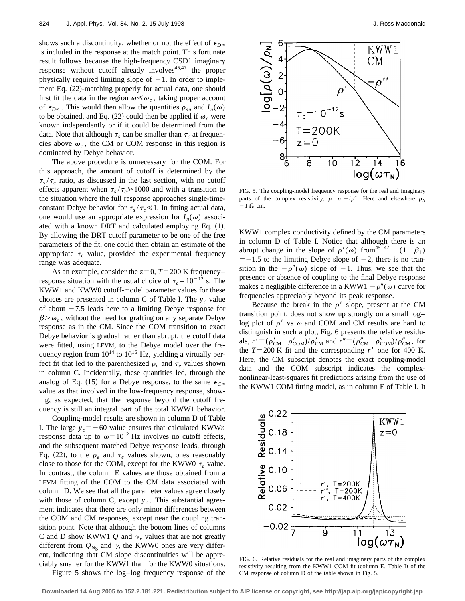shows such a discontinuity, whether or not the effect of  $\epsilon_{D\infty}$ is included in the response at the match point. This fortunate result follows because the high-frequency CSD1 imaginary response without cutoff already involves $45,47$  the proper physically required limiting slope of  $-1$ . In order to implement Eq.  $(22)$ -matching properly for actual data, one should first fit the data in the region  $\omega \ll \omega_c$ , taking proper account of  $\epsilon_{D^\infty}$ . This would then allow the quantities  $\rho_{sn}$  and  $I_n(\omega)$ to be obtained, and Eq.  $(22)$  could then be applied if  $\omega_c$  were known independently or if it could be determined from the data. Note that although  $\tau_s$  can be smaller than  $\tau_c$  at frequencies above  $\omega_c$ , the CM or COM response in this region is dominated by Debye behavior.

The above procedure is unnecessary for the COM. For this approach, the amount of cutoff is determined by the  $\tau_s/\tau_c$  ratio, as discussed in the last section, with no cutoff effects apparent when  $\tau_s / \tau_c \gg 1000$  and with a transition to the situation where the full response approaches single-timeconstant Debye behavior for  $\tau_s / \tau_c \ll 1$ . In fitting actual data, one would use an appropriate expression for  $I_n(\omega)$  associated with a known DRT and calculated employing Eq.  $(1)$ . By allowing the DRT cutoff parameter to be one of the free parameters of the fit, one could then obtain an estimate of the appropriate  $\tau_c$  value, provided the experimental frequency range was adequate.

As an example, consider the  $z=0$ ,  $T=200$  K frequency– response situation with the usual choice of  $\tau_c = 10^{-12}$  s. The KWW1 and KWW0 cutoff-model parameter values for these choices are presented in column C of Table I. The  $y_c$  value of about  $-7.5$  leads here to a limiting Debye response for  $\beta > \omega_c$ , without the need for grafting on any separate Debye response as in the CM. Since the COM transition to exact Debye behavior is gradual rather than abrupt, the cutoff data were fitted, using LEVM, to the Debye model over the frequency region from  $10^{14}$  to  $10^{16}$  Hz, yielding a virtually perfect fit that led to the parenthesized  $\rho_e$  and  $\tau_e$  values shown in column C. Incidentally, these quantities led, through the analog of Eq. (15) for a Debye response, to the same  $\epsilon_{C\infty}$ value as that involved in the low-frequency response, showing, as expected, that the response beyond the cutoff frequency is still an integral part of the total KWW1 behavior.

Coupling-model results are shown in column D of Table I. The large  $y_c = -60$  value ensures that calculated KWWn response data up to  $\omega = 10^{12}$  Hz involves no cutoff effects, and the subsequent matched Debye response leads, through Eq. (22), to the  $\rho_e$  and  $\tau_e$  values shown, ones reasonably close to those for the COM, except for the KWW0  $\tau_e$  value. In contrast, the column E values are those obtained from a LEVM fitting of the COM to the CM data associated with column D. We see that all the parameter values agree closely with those of column C, except  $y_c$ . This substantial agreement indicates that there are only minor differences between the COM and CM responses, except near the coupling transition point. Note that although the bottom lines of columns C and D show KWW1  $Q$  and  $\gamma_x$  values that are not greatly different from  $Q_{Ng}$  and  $\gamma$ , the KWW0 ones are very different, indicating that CM slope discontinuities will be appreciably smaller for the KWW1 than for the KWW0 situations.



FIG. 5. The coupling-model frequency response for the real and imaginary parts of the complex resistivity,  $\rho = \rho' - i \rho''$ . Here and elsewhere  $\rho_N$  $=1 \Omega$  cm.

KWW1 complex conductivity defined by the CM parameters in column D of Table I. Notice that although there is an abrupt change in the slope of  $\rho'(\omega)$  from<sup>45–47</sup>  $-(1+\beta_1)$  $=$  -1.5 to the limiting Debye slope of -2, there is no transition in the  $-\rho''(\omega)$  slope of  $-1$ . Thus, we see that the presence or absence of coupling to the final Debye response makes a negligible difference in a KWW1  $-\rho''(\omega)$  curve for frequencies appreciably beyond its peak response.

Because the break in the  $\rho'$  slope, present at the CM transition point, does not show up strongly on a small log– log plot of  $\rho'$  vs  $\omega$  and COM and CM results are hard to distinguish in such a plot, Fig. 6 presents the relative residuals,  $r' \equiv (\rho'_{CM} - \rho'_{COM})/\rho'_{CM}$  and  $r'' \equiv (\rho''_{CM} - \rho''_{COM})/\rho''_{CM}$ , for the  $T=200 \text{ K}$  fit and the corresponding  $r'$  one for 400 K. Here, the CM subscript denotes the exact coupling-model data and the COM subscript indicates the complexnonlinear-least-squares fit predictions arising from the use of the KWW1 COM fitting model, as in column E of Table I. It



FIG. 6. Relative residuals for the real and imaginary parts of the complex resistivity resulting from the KWW1 COM fit (column E, Table I) of the CM response of column D of the table shown in Fig. 5.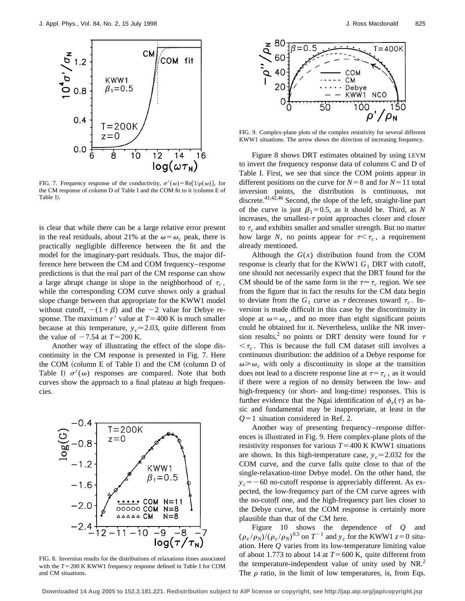

FIG. 7. Frequency response of the conductivity,  $\sigma'(\omega) = \text{Re}[1/\rho(\omega)]$ , for the CM response of column D of Table I and the COM fit to it (column E of Table I).

is clear that while there can be a large relative error present in the real residuals, about 21% at the  $\omega = \omega_c$  peak, there is practically negligible difference between the fit and the model for the imaginary-part residuals. Thus, the major difference here between the CM and COM frequency–response predictions is that the real part of the CM response can show a large abrupt change in slope in the neighborhood of  $\tau_c$ , while the corresponding COM curve shows only a gradual slope change between that appropriate for the KWW1 model without cutoff,  $-(1+\beta)$  and the -2 value for Debye response. The maximum  $r'$  value at  $T=400$  K is much smaller because at this temperature,  $y_c \approx 2.03$ , quite different from the value of  $-7.54$  at  $T = 200$  K.

Another way of illustrating the effect of the slope discontinuity in the CM response is presented in Fig. 7. Here the COM (column  $E$  of Table I) and the CM (column D of Table I)  $\sigma'(\omega)$  responses are compared. Note that both curves show the approach to a final plateau at high frequencies.



FIG. 8. Inversion results for the distributions of relaxations times associated with the  $T=200$  K KWW1 frequency response defined in Table I for COM and CM situations.



FIG. 9. Complex-plane plots of the complex resistivity for several different KWW1 situations. The arrow shows the direction of increasing frequency.

Figure 8 shows DRT estimates obtained by using LEVM to invert the frequency response data of columns C and D of Table I. First, we see that since the COM points appear in different positions on the curve for  $N=8$  and for  $N=11$  total inversion points, the distribution is continuous, not discrete.41,42,46 Second, the slope of the left, straight-line part of the curve is just  $\beta_1=0.5$ , as it should be. Third, as *N* increases, the smallest- $\tau$  point approaches closer and closer to  $\tau_c$  and exhibits smaller and smaller strength. But no matter how large *N*, no points appear for  $\tau < \tau_c$ , a requirement already mentioned.

Although the  $G(x)$  distribution found from the COM response is clearly that for the KWW1  $G_1$  DRT with cutoff, one should not necessarily expect that the DRT found for the CM should be of the same form in the  $\tau \approx \tau_c$  region. We see from the figure that in fact the results for the CM data begin to deviate from the  $G_1$  curve as  $\tau$  decreases toward  $\tau_c$ . Inversion is made difficult in this case by the discontinuity in slope at  $\omega = \omega_c$ , and no more than eight significant points could be obtained for it. Nevertheless, unlike the NR inversion results,<sup>2</sup> no points or DRT density were found for  $\tau$  $\tau_c$ . This is because the full CM dataset still involves a continuous distribution: the addition of a Debye response for  $\omega \geq \omega_c$  with only a discontinuity in slope at the transition does not lead to a discrete response line at  $\tau = \tau_c$ , as it would if there were a region of no density between the low- and high-frequency (or short- and long-time) responses. This is further evidence that the Ngai identification of  $\phi_e(\tau)$  as basic and fundamental may be inappropriate, at least in the  $Q=1$  situation considered in Ref. 2.

Another way of presenting frequency–response differences is illustrated in Fig. 9. Here complex-plane plots of the resistivity responses for various  $T=400$  K KWW1 situations are shown. In this high-temperature case,  $y_c \approx 2.032$  for the COM curve, and the curve falls quite close to that of the single-relaxation-time Debye model. On the other hand, the  $y_c = -60$  no-cutoff response is appreciably different. As expected, the low-frequency part of the CM curve agrees with the no-cutoff one, and the high-frequency part lies closer to the Debye curve, but the COM response is certainly more plausible than that of the CM here.

Figure 10 shows the dependence of *Q* and  $(\rho_e/\rho_N)/(\rho_s/\rho_N)^{0.5}$  on  $T^{-1}$  and  $y_c$  for the KWW1  $z=0$  situation. Here *Q* varies from its low-temperature limiting value of about 1.773 to about 14 at  $T = 600$  K, quite different from the temperature-independent value of unity used by NR.<sup>2</sup> The  $\rho$  ratio, in the limit of low temperatures, is, from Eqs.

**Downloaded 14 Aug 2005 to 152.2.181.221. Redistribution subject to AIP license or copyright, see http://jap.aip.org/jap/copyright.jsp**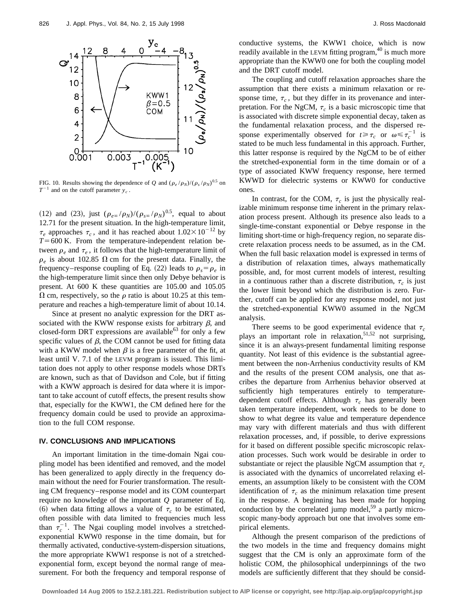

FIG. 10. Results showing the dependence of *Q* and  $(\rho_e/\rho_N)/(\rho_s/\rho_N)^{0.5}$  on  $T^{-1}$  and on the cutoff parameter  $y_c$ .

(12) and (23), just  $(\rho_{e\infty}/\rho_N)/(\rho_{s\infty}/\rho_N)^{0.5}$ , equal to about 12.71 for the present situation. In the high-temperature limit,  $\tau_e$  approaches  $\tau_c$ , and it has reached about  $1.02 \times 10^{-12}$  by  $T=600$  K. From the temperature-independent relation between  $\rho_e$  and  $\tau_e$ , it follows that the high-temperature limit of  $\rho_e$  is about 102.85  $\Omega$  cm for the present data. Finally, the frequency–response coupling of Eq. (22) leads to  $\rho_s = \rho_e$  in the high-temperature limit since then only Debye behavior is present. At 600 K these quantities are 105.00 and 105.05  $\Omega$  cm, respectively, so the  $\rho$  ratio is about 10.25 at this temperature and reaches a high-temperature limit of about 10.14.

Since at present no analytic expression for the DRT associated with the KWW response exists for arbitrary  $\beta$ , and closed-form DRT expressions are available<sup>63</sup> for only a few specific values of  $\beta$ , the COM cannot be used for fitting data with a KWW model when  $\beta$  is a free parameter of the fit, at least until V. 7.1 of the LEVM program is issued. This limitation does not apply to other response models whose DRTs are known, such as that of Davidson and Cole, but if fitting with a KWW approach is desired for data where it is important to take account of cutoff effects, the present results show that, especially for the KWW1, the CM defined here for the frequency domain could be used to provide an approximation to the full COM response.

# **IV. CONCLUSIONS AND IMPLICATIONS**

An important limitation in the time-domain Ngai coupling model has been identified and removed, and the model has been generalized to apply directly in the frequency domain without the need for Fourier transformation. The resulting CM frequency–response model and its COM counterpart require no knowledge of the important *Q* parameter of Eq. (6) when data fitting allows a value of  $\tau_c$  to be estimated, often possible with data limited to frequencies much less than  $\tau_c^{-1}$ . The Ngai coupling model involves a stretchedexponential KWW0 response in the time domain, but for thermally activated, conductive-system-dispersion situations, the more appropriate KWW1 response is not of a stretchedexponential form, except beyond the normal range of measurement. For both the frequency and temporal response of conductive systems, the KWW1 choice, which is now readily available in the LEVM fitting program,<sup>40</sup> is much more appropriate than the KWW0 one for both the coupling model and the DRT cutoff model.

The coupling and cutoff relaxation approaches share the assumption that there exists a minimum relaxation or response time,  $\tau_c$ , but they differ in its provenance and interpretation. For the NgCM,  $\tau_c$  is a basic microscopic time that is associated with discrete simple exponential decay, taken as the fundamental relaxation process, and the dispersed response experimentally observed for  $t \ge \tau_c$  or  $\omega \le \tau_c^{-1}$  is stated to be much less fundamental in this approach. Further, this latter response is required by the NgCM to be of either the stretched-exponential form in the time domain or of a type of associated KWW frequency response, here termed KWWD for dielectric systems or KWW0 for conductive ones.

In contrast, for the COM,  $\tau_c$  is just the physically realizable minimum response time inherent in the primary relaxation process present. Although its presence also leads to a single-time-constant exponential or Debye response in the limiting short-time or high-frequency region, no separate discrete relaxation process needs to be assumed, as in the CM. When the full basic relaxation model is expressed in terms of a distribution of relaxation times, always mathematically possible, and, for most current models of interest, resulting in a continuous rather than a discrete distribution,  $\tau_c$  is just the lower limit beyond which the distribution is zero. Further, cutoff can be applied for any response model, not just the stretched-exponential KWW0 assumed in the NgCM analysis.

There seems to be good experimental evidence that  $\tau_c$ plays an important role in relaxation,  $5^{1,52}$  not surprising, since it is an always-present fundamental limiting response quantity. Not least of this evidence is the substantial agreement between the non-Arrhenius conductivity results of KM and the results of the present COM analysis, one that ascribes the departure from Arrhenius behavior observed at sufficiently high temperatures entirely to temperaturedependent cutoff effects. Although  $\tau_c$  has generally been taken temperature independent, work needs to be done to show to what degree its value and temperature dependence may vary with different materials and thus with different relaxation processes, and, if possible, to derive expressions for it based on different possible specific microscopic relaxation processes. Such work would be desirable in order to substantiate or reject the plausible NgCM assumption that  $\tau_c$ is associated with the dynamics of uncorrelated relaxing elements, an assumption likely to be consistent with the COM identification of  $\tau_c$  as the minimum relaxation time present in the response. A beginning has been made for hopping conduction by the correlated jump model, $59$  a partly microscopic many-body approach but one that involves some empirical elements.

Although the present comparison of the predictions of the two models in the time and frequency domains might suggest that the CM is only an approximate form of the holistic COM, the philosophical underpinnings of the two models are sufficiently different that they should be consid